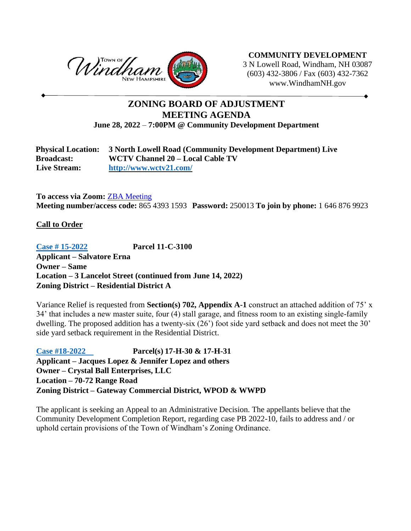

**COMMUNITY DEVELOPMENT** 3 N Lowell Road, Windham, NH 03087 (603) 432-3806 / Fax (603) 432-7362 www.WindhamNH.gov

# **ZONING BOARD OF ADJUSTMENT MEETING AGENDA June 28, 2022** – **7:00PM @ Community Development Department**

| <b>Physical Location:</b> | 3 North Lowell Road (Community Development Department) Live |
|---------------------------|-------------------------------------------------------------|
| <b>Broadcast:</b>         | WCTV Channel 20 – Local Cable TV                            |
| <b>Live Stream:</b>       | http://www.wctv21.com/                                      |

**To access via Zoom:** ZBA [Meeting](https://us02web.zoom.us/j/86543931593?pwd=NTh0UkkrMDViVVVXU3Vtem5pVllrdz09) **Meeting number/access code:** 865 4393 1593 **Password:** 250013 **To join by phone:** 1 646 876 9923

## **Call to Order**

**[Case # 15-2022](https://windhamnh.gov/DocumentCenter/Index/966) Parcel 11-C-3100 Applicant – Salvatore Erna Owner – Same Location – 3 Lancelot Street (continued from June 14, 2022) Zoning District – Residential District A**

Variance Relief is requested from **Section(s) 702, Appendix A-1** construct an attached addition of 75' x 34' that includes a new master suite, four (4) stall garage, and fitness room to an existing single-family dwelling. The proposed addition has a twenty-six (26') foot side yard setback and does not meet the 30' side yard setback requirement in the Residential District.

**[Case #18-2022](https://windhamnh.gov/DocumentCenter/Index/984) Parcel(s) 17-H-30 & 17-H-31 Applicant – Jacques Lopez & Jennifer Lopez and others Owner – Crystal Ball Enterprises, LLC Location – 70-72 Range Road Zoning District – Gateway Commercial District, WPOD & WWPD**

The applicant is seeking an Appeal to an Administrative Decision. The appellants believe that the Community Development Completion Report, regarding case PB 2022-10, fails to address and / or uphold certain provisions of the Town of Windham's Zoning Ordinance.